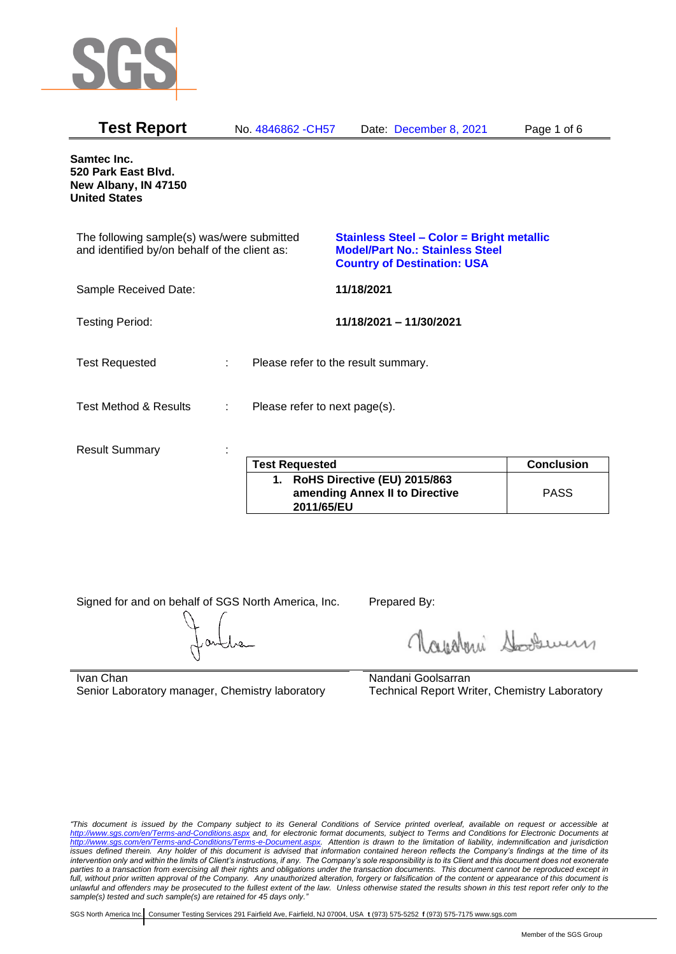

| <b>Test Report</b>                                                                          |   | No. 4846862 - CH57                  |            | Date: December 8, 2021                                                                                                           | Page 1 of 6       |
|---------------------------------------------------------------------------------------------|---|-------------------------------------|------------|----------------------------------------------------------------------------------------------------------------------------------|-------------------|
| Samtec Inc.<br>520 Park East Blvd.<br>New Albany, IN 47150<br><b>United States</b>          |   |                                     |            |                                                                                                                                  |                   |
| The following sample(s) was/were submitted<br>and identified by/on behalf of the client as: |   |                                     |            | <b>Stainless Steel - Color = Bright metallic</b><br><b>Model/Part No.: Stainless Steel</b><br><b>Country of Destination: USA</b> |                   |
| Sample Received Date:                                                                       |   |                                     | 11/18/2021 |                                                                                                                                  |                   |
| <b>Testing Period:</b>                                                                      |   |                                     |            | 11/18/2021 - 11/30/2021                                                                                                          |                   |
| <b>Test Requested</b>                                                                       |   | Please refer to the result summary. |            |                                                                                                                                  |                   |
| <b>Test Method &amp; Results</b>                                                            | ÷ | Please refer to next page(s).       |            |                                                                                                                                  |                   |
| <b>Result Summary</b>                                                                       |   |                                     |            |                                                                                                                                  |                   |
|                                                                                             |   | <b>Test Requested</b>               |            |                                                                                                                                  | <b>Conclusion</b> |

| <b>Test Requested</b>                                                           | <b>Conclusion</b> |
|---------------------------------------------------------------------------------|-------------------|
| 1. RoHS Directive (EU) 2015/863<br>amending Annex II to Directive<br>2011/65/EU | <b>PASS</b>       |

Signed for and on behalf of SGS North America, Inc. Prepared By:

Napoleri Sooseman

Ivan Chan Senior Laboratory manager, Chemistry laboratory Nandani Goolsarran Technical Report Writer, Chemistry Laboratory

*"This document is issued by the Company subject to its General Conditions of Service printed overleaf, available on request or accessible at <http://www.sgs.com/en/Terms-and-Conditions.aspx> and, for electronic format documents, subject to Terms and Conditions for Electronic Documents at [http://www.sgs.com/en/Terms-and-Conditions/Terms-e-Document.aspx.](http://www.sgs.com/en/Terms-and-Conditions/Terms-e-Document.aspx) Attention is drawn to the limitation of liability, indemnification and jurisdiction issues defined therein. Any holder of this document is advised that information contained hereon reflects the Company's findings at the time of its intervention only and within the limits of Client's instructions, if any. The Company's sole responsibility is to its Client and this document does not exonerate parties to a transaction from exercising all their rights and obligations under the transaction documents. This document cannot be reproduced except in full, without prior written approval of the Company. Any unauthorized alteration, forgery or falsification of the content or appearance of this document is unlawful and offenders may be prosecuted to the fullest extent of the law. Unless otherwise stated the results shown in this test report refer only to the sample(s) tested and such sample(s) are retained for 45 days only."*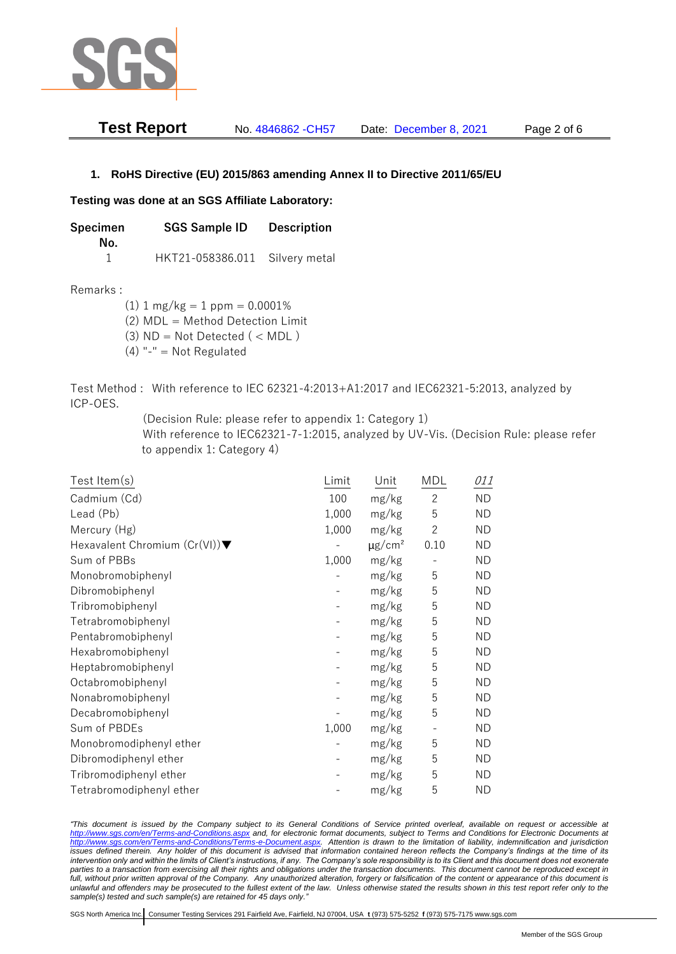

| <b>Test Report</b> | No. 4846862 - CH57 | Date: December 8, 2021 | Page 2 of 6 |
|--------------------|--------------------|------------------------|-------------|
|--------------------|--------------------|------------------------|-------------|

## **1. RoHS Directive (EU) 2015/863 amending Annex II to Directive 2011/65/EU**

## **Testing was done at an SGS Affiliate Laboratory:**

**Specimen SGS Sample ID Description No.** 1 HKT21-058386.011 Silvery metal

Remarks :

 $(1)$  1 mg/kg = 1 ppm = 0.0001% (2) MDL = Method Detection Limit

 $(3)$  ND = Not Detected  $($  < MDL)

- (4) "-" = Not Regulated
- Test Method : With reference to IEC 62321-4:2013+A1:2017 and IEC62321-5:2013, analyzed by ICP-OES.

(Decision Rule: please refer to appendix 1: Category 1)

With reference to IEC62321-7-1:2015, analyzed by UV-Vis. (Decision Rule: please refer to appendix 1: Category 4)

| Test Item(s)                                     | Limit | Unit                    | <b>MDL</b>               | <i>011</i> |
|--------------------------------------------------|-------|-------------------------|--------------------------|------------|
| Cadmium (Cd)                                     | 100   | mg/kg                   | $\overline{c}$           | <b>ND</b>  |
| Lead (Pb)                                        | 1,000 | mg/kg                   | 5                        | <b>ND</b>  |
| Mercury (Hg)                                     | 1,000 | mg/kg                   | $\mathbf{2}$             | <b>ND</b>  |
| Hexavalent Chromium $(Cr(VI))\blacktriangledown$ |       | $\mu$ g/cm <sup>2</sup> | 0.10                     | <b>ND</b>  |
| Sum of PBBs                                      | 1,000 | mg/kg                   |                          | <b>ND</b>  |
| Monobromobiphenyl                                |       | mg/kg                   | 5                        | <b>ND</b>  |
| Dibromobiphenyl                                  |       | mg/kg                   | 5                        | <b>ND</b>  |
| Tribromobiphenyl                                 |       | mg/kg                   | 5                        | <b>ND</b>  |
| Tetrabromobiphenyl                               |       | mg/kg                   | 5                        | <b>ND</b>  |
| Pentabromobiphenyl                               |       | mg/kg                   | 5                        | <b>ND</b>  |
| Hexabromobiphenyl                                |       | mg/kg                   | 5                        | ΝD         |
| Heptabromobiphenyl                               |       | mg/kg                   | 5                        | <b>ND</b>  |
| Octabromobiphenyl                                |       | mg/kg                   | 5                        | <b>ND</b>  |
| Nonabromobiphenyl                                |       | mg/kg                   | 5                        | <b>ND</b>  |
| Decabromobiphenyl                                |       | mg/kg                   | 5                        | <b>ND</b>  |
| Sum of PBDEs                                     | 1,000 | mg/kg                   | $\overline{\phantom{a}}$ | <b>ND</b>  |
| Monobromodiphenyl ether                          |       | mg/kg                   | 5                        | <b>ND</b>  |
| Dibromodiphenyl ether                            |       | mg/kg                   | 5                        | <b>ND</b>  |
| Tribromodiphenyl ether                           |       | mg/kg                   | 5                        | ND         |
| Tetrabromodiphenyl ether                         |       | mg/kg                   | 5                        | <b>ND</b>  |

*"This document is issued by the Company subject to its General Conditions of Service printed overleaf, available on request or accessible at <http://www.sgs.com/en/Terms-and-Conditions.aspx> and, for electronic format documents, subject to Terms and Conditions for Electronic Documents at [http://www.sgs.com/en/Terms-and-Conditions/Terms-e-Document.aspx.](http://www.sgs.com/en/Terms-and-Conditions/Terms-e-Document.aspx) Attention is drawn to the limitation of liability, indemnification and jurisdiction issues defined therein. Any holder of this document is advised that information contained hereon reflects the Company's findings at the time of its intervention only and within the limits of Client's instructions, if any. The Company's sole responsibility is to its Client and this document does not exonerate*  parties to a transaction from exercising all their rights and obligations under the transaction documents. This document cannot be reproduced except in *full, without prior written approval of the Company. Any unauthorized alteration, forgery or falsification of the content or appearance of this document is unlawful and offenders may be prosecuted to the fullest extent of the law. Unless otherwise stated the results shown in this test report refer only to the sample(s) tested and such sample(s) are retained for 45 days only."*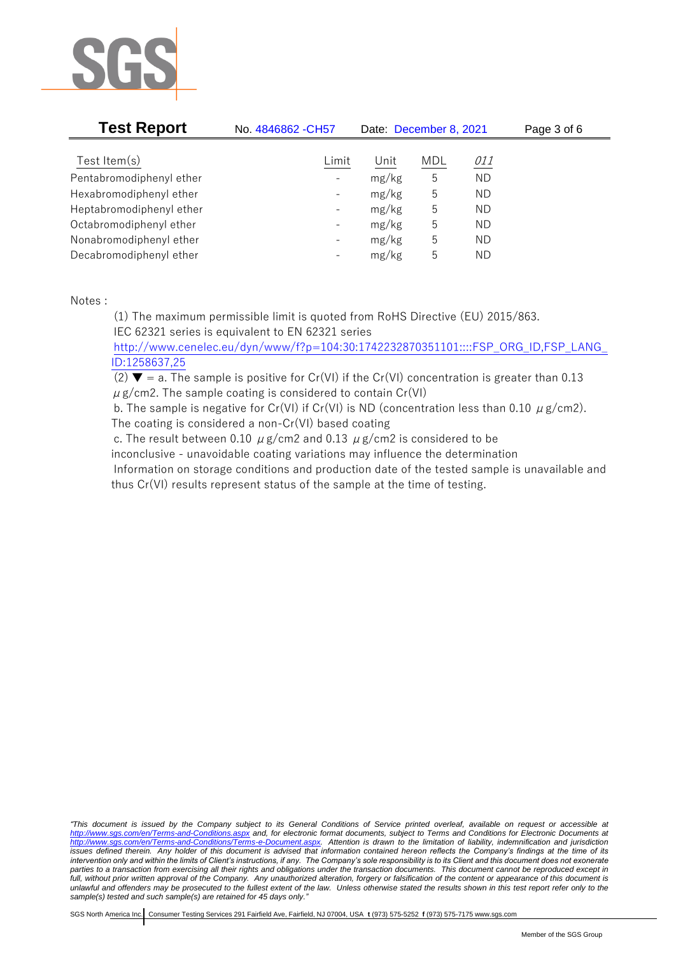

| <b>Test Report</b>       | No. 4846862 - CH57       | Date: December 8, 2021 |            |            | Page 3 of 6 |
|--------------------------|--------------------------|------------------------|------------|------------|-------------|
| Test Item $(s)$          | Limit                    | Unit                   | <b>MDL</b> | <i>011</i> |             |
| Pentabromodiphenyl ether | $\overline{\phantom{0}}$ | mg/kg                  | 5          | <b>ND</b>  |             |
| Hexabromodiphenyl ether  | $\qquad \qquad -$        | mg/kg                  | 5          | ND         |             |
| Heptabromodiphenyl ether | $\qquad \qquad -$        | mg/kg                  | 5          | ND         |             |
| Octabromodiphenyl ether  | -                        | mg/kg                  | 5          | ND         |             |
| Nonabromodiphenyl ether  | $\qquad \qquad -$        | mg/kg                  | 5          | ND         |             |
| Decabromodiphenyl ether  | $\overline{\phantom{a}}$ | mg/kg                  | 5          | ΝD         |             |

Notes :

(1) The maximum permissible limit is quoted from RoHS Directive (EU) 2015/863. IEC 62321 series is equivalent to EN 62321 series

[http://www.cenelec.eu/dyn/www/f?p=104:30:1742232870351101::::FSP\\_ORG\\_ID,FSP\\_LANG\\_](http://www.cenelec.eu/dyn/www/f?p=104:30:1742232870351101::::FSP_ORG_ID,FSP_LANG_ID:1258637,25) [ID:1258637,25](http://www.cenelec.eu/dyn/www/f?p=104:30:1742232870351101::::FSP_ORG_ID,FSP_LANG_ID:1258637,25)

(2)  $\blacktriangledown$  = a. The sample is positive for Cr(VI) if the Cr(VI) concentration is greater than 0.13  $\mu$  g/cm2. The sample coating is considered to contain Cr(VI)

b. The sample is negative for Cr(VI) if Cr(VI) is ND (concentration less than 0.10  $\mu$  g/cm2). The coating is considered a non-Cr(VI) based coating

c. The result between 0.10  $\mu$  g/cm2 and 0.13  $\mu$  g/cm2 is considered to be inconclusive - unavoidable coating variations may influence the determination Information on storage conditions and production date of the tested sample is unavailable and thus Cr(VI) results represent status of the sample at the time of testing.

*"This document is issued by the Company subject to its General Conditions of Service printed overleaf, available on request or accessible at <http://www.sgs.com/en/Terms-and-Conditions.aspx> and, for electronic format documents, subject to Terms and Conditions for Electronic Documents at [http://www.sgs.com/en/Terms-and-Conditions/Terms-e-Document.aspx.](http://www.sgs.com/en/Terms-and-Conditions/Terms-e-Document.aspx) Attention is drawn to the limitation of liability, indemnification and jurisdiction issues defined therein. Any holder of this document is advised that information contained hereon reflects the Company's findings at the time of its intervention only and within the limits of Client's instructions, if any. The Company's sole responsibility is to its Client and this document does not exonerate parties to a transaction from exercising all their rights and obligations under the transaction documents. This document cannot be reproduced except in full, without prior written approval of the Company. Any unauthorized alteration, forgery or falsification of the content or appearance of this document is unlawful and offenders may be prosecuted to the fullest extent of the law. Unless otherwise stated the results shown in this test report refer only to the sample(s) tested and such sample(s) are retained for 45 days only."*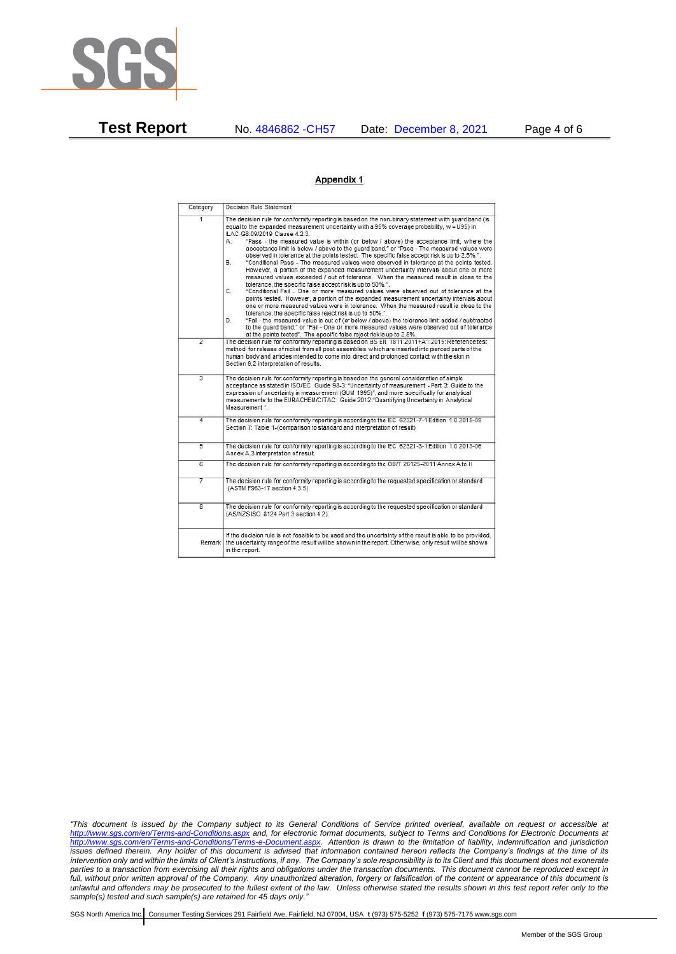

**Test Report** No. 4846862 -CH57 Date: December 8, 2021 Page 4 of 6

## Appendix 1

| Category                | Decision Rule Statement                                                                                                                                                                                                                                                                                                                                                                                                                                                                                                                                                                                                                                                                                                                                                                                                                                                                                                                                                                                                                                                                                                                                                                                                                                                                                                                                                                                                                                                                                            |
|-------------------------|--------------------------------------------------------------------------------------------------------------------------------------------------------------------------------------------------------------------------------------------------------------------------------------------------------------------------------------------------------------------------------------------------------------------------------------------------------------------------------------------------------------------------------------------------------------------------------------------------------------------------------------------------------------------------------------------------------------------------------------------------------------------------------------------------------------------------------------------------------------------------------------------------------------------------------------------------------------------------------------------------------------------------------------------------------------------------------------------------------------------------------------------------------------------------------------------------------------------------------------------------------------------------------------------------------------------------------------------------------------------------------------------------------------------------------------------------------------------------------------------------------------------|
| $\overline{1}$          | The decision rule for conformity reporting is based on the non-binary statement with quard band (is<br>equal to the expanded measurement uncertainty with a 95% coverage probability, w = U95) in<br>ILAC-G8:09/2019 Clause 4.2.3.<br>"Pass - the measured value is within (or below / above) the acceptance limit, where the<br>А.<br>acceptance limit is below / above to the quard band." or "Pass - The measured values were<br>observed in tolerance at the points tested. The specific false accept risk is up to 2.5%.".<br>"Conditional Pass - The measured values were observed in tolerance at the points tested.<br>В.<br>However, a portion of the expanded measurement uncertainty intervals about one or more<br>measured values exceeded / out of tolerance. When the measured result is close to the<br>tolerance, the specific false accept risk is up to 50%.".<br>C.<br>"Conditional Fail - One or more measured values were observed out of tolerance at the<br>points tested. However, a portion of the expanded measurement uncertainty intervals about<br>one or more measured values were in tolerance. When the measured result is close to the<br>tolerance, the specific false reject risk is up to 50%.".<br>"Fail - the measured value is out of (or below / above) the tolerance limit added / subtracted<br>D.<br>to the quard band." or "Fail - One or more measured values were observed out of tolerance<br>at the points tested". The specific false reject risk is up to 2.5%. |
| $\overline{2}$          | The decision rule for conformity reporting is based on BS EN 1811:2011+A1:2015: Reference test<br>method for release of nickel from all post assemblies which are inserted into pierced parts of the<br>human body and articles intended to come into direct and prolonged contact with the skin in<br>Section 9.2 interpretation of results.                                                                                                                                                                                                                                                                                                                                                                                                                                                                                                                                                                                                                                                                                                                                                                                                                                                                                                                                                                                                                                                                                                                                                                      |
| $\overline{3}$          | The decision rule for conformity reporting is based on the general consideration of simple<br>acceptance as stated in ISO/IEC Guide 98-3: "Uncertainty of measurement - Part 3: Guide to the<br>expression of uncertainty in measurement (GUM 1995)", and more specifically for analytical<br>measurements to the EURACHEM/CITAC Guide 2012 "Quantifying Uncertainty in Analytical<br>Measurement *                                                                                                                                                                                                                                                                                                                                                                                                                                                                                                                                                                                                                                                                                                                                                                                                                                                                                                                                                                                                                                                                                                                |
| 4                       | The decision rule for conformity reporting is according to the IEC 62321-7-1 Edition 1.0 2015-09<br>Section 7: Table 1-(comparison to standard and interpretation of result)                                                                                                                                                                                                                                                                                                                                                                                                                                                                                                                                                                                                                                                                                                                                                                                                                                                                                                                                                                                                                                                                                                                                                                                                                                                                                                                                       |
| $\overline{5}$          | The decision rule for conformity reporting is according to the IEC 62321-3-1 Edition 1.0 2013-06<br>Annex A.3 interpretation of result.                                                                                                                                                                                                                                                                                                                                                                                                                                                                                                                                                                                                                                                                                                                                                                                                                                                                                                                                                                                                                                                                                                                                                                                                                                                                                                                                                                            |
| $\overline{6}$          | The decision rule for conformity reporting is according to the GB/T 26125-2011 Annex A to H                                                                                                                                                                                                                                                                                                                                                                                                                                                                                                                                                                                                                                                                                                                                                                                                                                                                                                                                                                                                                                                                                                                                                                                                                                                                                                                                                                                                                        |
| 7                       | The decision rule for conformity reporting is according to the requested specification or standard<br>(ASTM F963-17 section 4.3.5)                                                                                                                                                                                                                                                                                                                                                                                                                                                                                                                                                                                                                                                                                                                                                                                                                                                                                                                                                                                                                                                                                                                                                                                                                                                                                                                                                                                 |
| $\overline{\mathbf{8}}$ | The decision rule for conformity reporting is according to the requested specification or standard<br>(AS/NZS ISO 8124 Part 3 section 4.2)                                                                                                                                                                                                                                                                                                                                                                                                                                                                                                                                                                                                                                                                                                                                                                                                                                                                                                                                                                                                                                                                                                                                                                                                                                                                                                                                                                         |
| Remark                  | If the decision rule is not feasible to be used and the uncertainty of the result is able to be provided.<br>the uncertainty range of the result will be shown in the report. Otherwise, only result will be shown<br>in the report.                                                                                                                                                                                                                                                                                                                                                                                                                                                                                                                                                                                                                                                                                                                                                                                                                                                                                                                                                                                                                                                                                                                                                                                                                                                                               |

*"This document is issued by the Company subject to its General Conditions of Service printed overleaf, available on request or accessible at <http://www.sgs.com/en/Terms-and-Conditions.aspx> and, for electronic format documents, subject to Terms and Conditions for Electronic Documents at [http://www.sgs.com/en/Terms-and-Conditions/Terms-e-Document.aspx.](http://www.sgs.com/en/Terms-and-Conditions/Terms-e-Document.aspx) Attention is drawn to the limitation of liability, indemnification and jurisdiction issues defined therein. Any holder of this document is advised that information contained hereon reflects the Company's findings at the time of its intervention only and within the limits of Client's instructions, if any. The Company's sole responsibility is to its Client and this document does not exonerate parties to a transaction from exercising all their rights and obligations under the transaction documents. This document cannot be reproduced except in full, without prior written approval of the Company. Any unauthorized alteration, forgery or falsification of the content or appearance of this document is unlawful and offenders may be prosecuted to the fullest extent of the law. Unless otherwise stated the results shown in this test report refer only to the sample(s) tested and such sample(s) are retained for 45 days only."*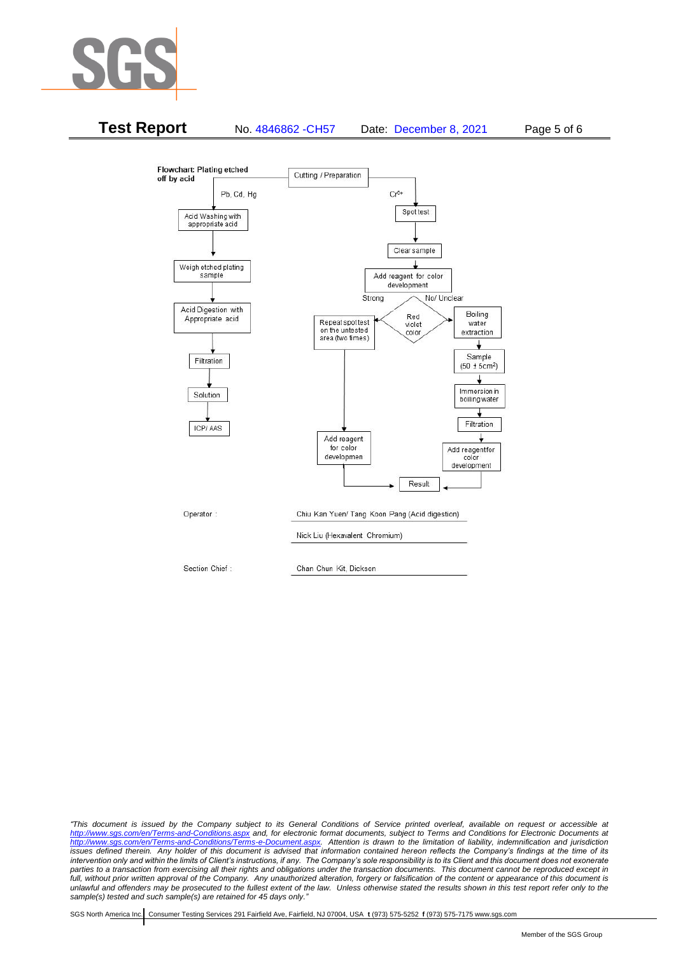



*"This document is issued by the Company subject to its General Conditions of Service printed overleaf, available on request or accessible at <http://www.sgs.com/en/Terms-and-Conditions.aspx> and, for electronic format documents, subject to Terms and Conditions for Electronic Documents at [http://www.sgs.com/en/Terms-and-Conditions/Terms-e-Document.aspx.](http://www.sgs.com/en/Terms-and-Conditions/Terms-e-Document.aspx) Attention is drawn to the limitation of liability, indemnification and jurisdiction issues defined therein. Any holder of this document is advised that information contained hereon reflects the Company's findings at the time of its intervention only and within the limits of Client's instructions, if any. The Company's sole responsibility is to its Client and this document does not exonerate*  parties to a transaction from exercising all their rights and obligations under the transaction documents. This document cannot be reproduced except in *full, without prior written approval of the Company. Any unauthorized alteration, forgery or falsification of the content or appearance of this document is unlawful and offenders may be prosecuted to the fullest extent of the law. Unless otherwise stated the results shown in this test report refer only to the sample(s) tested and such sample(s) are retained for 45 days only."*